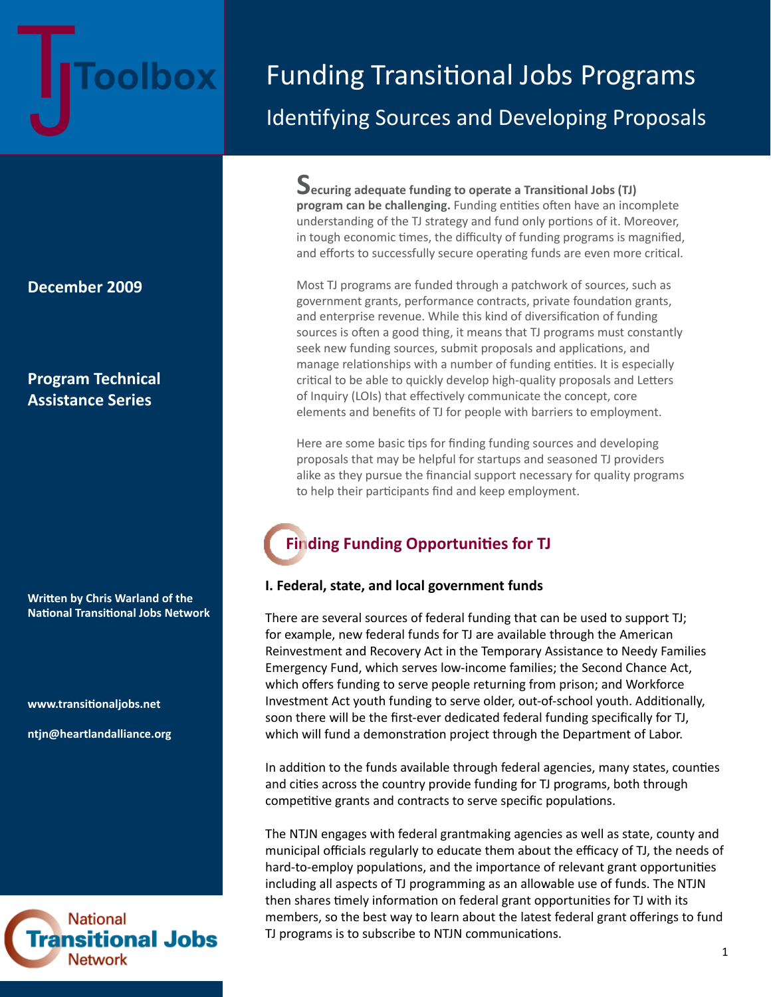# **Toolbox**

# Funding Transitional Jobs Programs Identifying Sources and Developing Proposals

**December 2009**

# **Program Technical Assistance Series**

**Written by Chris Warland of the National Transitional Jobs Network**

**www.transitionaljobs.net**

**ntjn@heartlandalliance.org**



**Securing adequate funding to operate a Transitional Jobs (TJ) program can be challenging.** Funding entities often have an incomplete understanding of the TJ strategy and fund only portions of it. Moreover, in tough economic times, the difficulty of funding programs is magnified, and efforts to successfully secure operating funds are even more critical.

Most TJ programs are funded through a patchwork of sources, such as government grants, performance contracts, private foundation grants, and enterprise revenue. While this kind of diversification of funding sources is often a good thing, it means that TJ programs must constantly seek new funding sources, submit proposals and applications, and manage relationships with a number of funding entities. It is especially critical to be able to quickly develop high-quality proposals and Letters of Inquiry (LOIs) that effectively communicate the concept, core elements and benefits of TJ for people with barriers to employment.

Here are some basic tips for finding funding sources and developing proposals that may be helpful for startups and seasoned TJ providers alike as they pursue the financial support necessary for quality programs to help their participants find and keep employment.

# **Finding Funding Opportunities for TJ**

# **I. Federal, state, and local government funds**

There are several sources of federal funding that can be used to support TJ; for example, new federal funds for TJ are available through the American Reinvestment and Recovery Act in the Temporary Assistance to Needy Families Emergency Fund, which serves low-income families; the Second Chance Act, which offers funding to serve people returning from prison; and Workforce Investment Act youth funding to serve older, out-of-school youth. Additionally, soon there will be the first-ever dedicated federal funding specifically for TJ, which will fund a demonstration project through the Department of Labor.

In addition to the funds available through federal agencies, many states, counties and cities across the country provide funding for TJ programs, both through competitive grants and contracts to serve specific populations.

The NTJN engages with federal grantmaking agencies as well as state, county and municipal officials regularly to educate them about the efficacy of TJ, the needs of hard-to-employ populations, and the importance of relevant grant opportunities including all aspects of TJ programming as an allowable use of funds. The NTJN then shares timely information on federal grant opportunities for TJ with its members, so the best way to learn about the latest federal grant offerings to fund TJ programs is to subscribe to NTJN communications.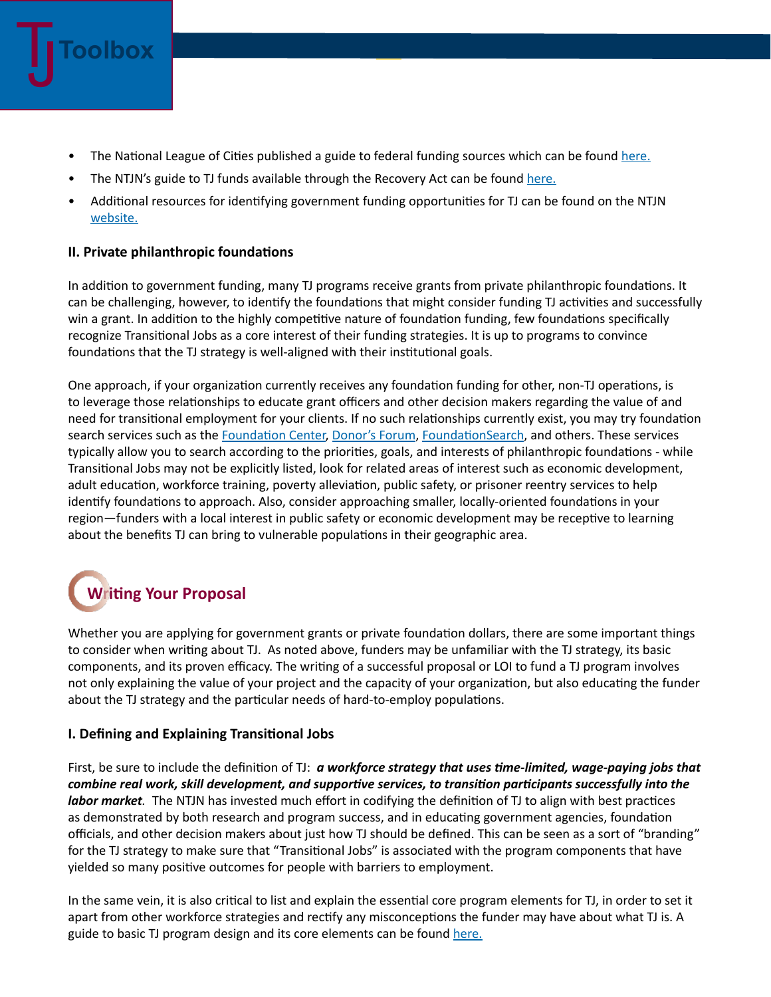

- The National League of Cities published a guide to federal funding sources which can be found [here.](http://www.heartlandalliance.org/ntjn/financing-tj-programs.pdf)
- The NTJN's guide to TJ funds available through the Recovery Act can be found [here](http://www.heartlandalliance.org/ntjn/arra-transitional-jobs-opportunities-updated-12-2-09-2.pdf).
- Additional resources for identifying government funding opportunities for TJ can be found on the NTJN [website.](http://www.heartlandalliance.org/ntjn/tj-program-budgeting-and-funding.html)

# **II. Private philanthropic foundations**

In addition to government funding, many TJ programs receive grants from private philanthropic foundations. It can be challenging, however, to identify the foundations that might consider funding TJ activities and successfully win a grant. In addition to the highly competitive nature of foundation funding, few foundations specifically recognize Transitional Jobs as a core interest of their funding strategies. It is up to programs to convince foundations that the TJ strategy is well-aligned with their institutional goals.

One approach, if your organization currently receives any foundation funding for other, non-TJ operations, is to leverage those relationships to educate grant officers and other decision makers regarding the value of and need for transitional employment for your clients. If no such relationships currently exist, you may try foundation search services such as the [Foundation Center,](http://foundationcenter.org/) [Donor's Forum](http://ifs.donorsforum.org/), [FoundationSearch](http://www.foundationsearch.com/), and others. These services typically allow you to search according to the priorities, goals, and interests of philanthropic foundations - while Transitional Jobs may not be explicitly listed, look for related areas of interest such as economic development, adult education, workforce training, poverty alleviation, public safety, or prisoner reentry services to help identify foundations to approach. Also, consider approaching smaller, locally-oriented foundations in your region—funders with a local interest in public safety or economic development may be receptive to learning about the benefits TJ can bring to vulnerable populations in their geographic area.

# **Writing Your Proposal**

Whether you are applying for government grants or private foundation dollars, there are some important things to consider when writing about TJ. As noted above, funders may be unfamiliar with the TJ strategy, its basic components, and its proven efficacy. The writing of a successful proposal or LOI to fund a TJ program involves not only explaining the value of your project and the capacity of your organization, but also educating the funder about the TJ strategy and the particular needs of hard-to-employ populations.

# **I. Defining and Explaining Transitional Jobs**

First, be sure to include the definition of TJ: *a workforce strategy that uses time-limited, wage-paying jobs that combine real work, skill development, and supportive services, to transition participants successfully into the labor market.* The NTJN has invested much effort in codifying the definition of TJ to align with best practices as demonstrated by both research and program success, and in educating government agencies, foundation officials, and other decision makers about just how TJ should be defined. This can be seen as a sort of "branding" for the TJ strategy to make sure that "Transitional Jobs" is associated with the program components that have yielded so many positive outcomes for people with barriers to employment.

In the same vein, it is also critical to list and explain the essential core program elements for TJ, in order to set it apart from other workforce strategies and rectify any misconceptions the funder may have about what TJ is. A guide to basic TJ program design and its core elements can be found [here.](http://www.heartlandalliance.org/ntjn/basic-transitional-jobs-program-design-10-09.pdf)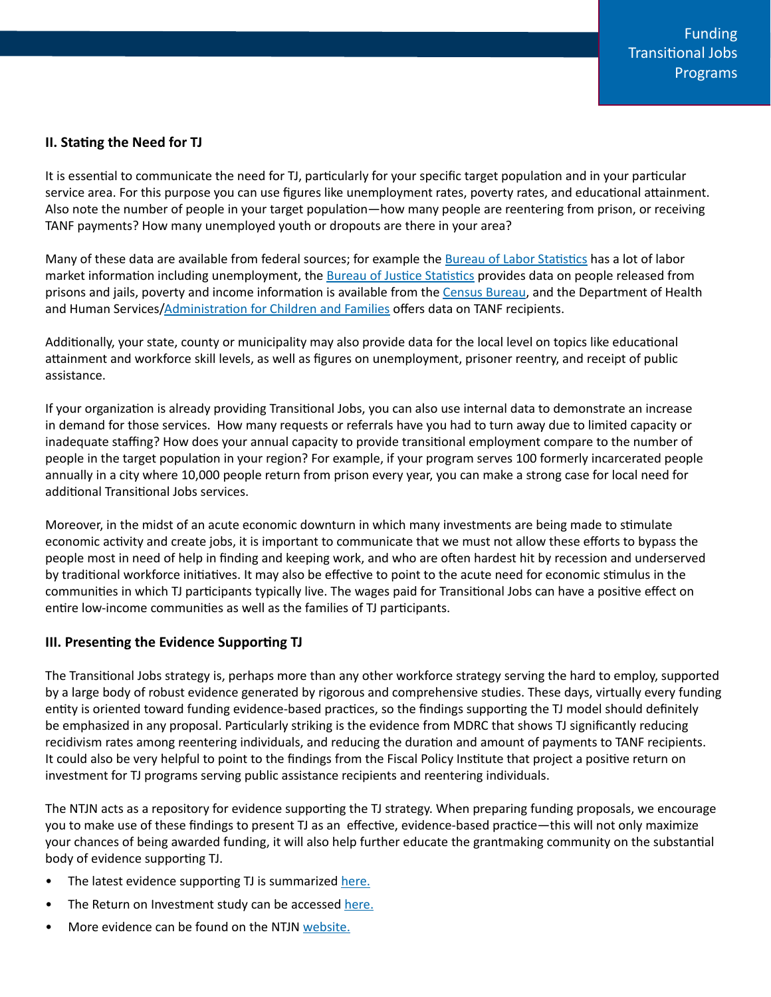## **II. Stating the Need for TJ**

It is essential to communicate the need for TJ, particularly for your specific target population and in your particular service area. For this purpose you can use figures like unemployment rates, poverty rates, and educational attainment. Also note the number of people in your target population—how many people are reentering from prison, or receiving TANF payments? How many unemployed youth or dropouts are there in your area?

Many of these data are available from federal sources; for example the [Bureau of Labor Statistics](http://www.bls.gov/) has a lot of labor market information including unemployment, the [Bureau of Justice Statistics](http://bjs.ojp.usdoj.gov/) provides data on people released from prisons and jails, poverty and income information is available from the [Census Bureau,](http://www.census.gov/) and the Department of Health and Human Services/[Administration for Children and Families](http://www.acf.hhs.gov/acf_policy_planning.html#stats) offers data on TANF recipients.

Additionally, your state, county or municipality may also provide data for the local level on topics like educational attainment and workforce skill levels, as well as figures on unemployment, prisoner reentry, and receipt of public assistance.

If your organization is already providing Transitional Jobs, you can also use internal data to demonstrate an increase in demand for those services. How many requests or referrals have you had to turn away due to limited capacity or inadequate staffing? How does your annual capacity to provide transitional employment compare to the number of people in the target population in your region? For example, if your program serves 100 formerly incarcerated people annually in a city where 10,000 people return from prison every year, you can make a strong case for local need for additional Transitional Jobs services.

Moreover, in the midst of an acute economic downturn in which many investments are being made to stimulate economic activity and create jobs, it is important to communicate that we must not allow these efforts to bypass the people most in need of help in finding and keeping work, and who are often hardest hit by recession and underserved by traditional workforce initiatives. It may also be effective to point to the acute need for economic stimulus in the communities in which TJ participants typically live. The wages paid for Transitional Jobs can have a positive effect on entire low-income communities as well as the families of TJ participants.

### **III. Presenting the Evidence Supporting TJ**

The Transitional Jobs strategy is, perhaps more than any other workforce strategy serving the hard to employ, supported by a large body of robust evidence generated by rigorous and comprehensive studies. These days, virtually every funding entity is oriented toward funding evidence-based practices, so the findings supporting the TJ model should definitely be emphasized in any proposal. Particularly striking is the evidence from MDRC that shows TJ significantly reducing recidivism rates among reentering individuals, and reducing the duration and amount of payments to TANF recipients. It could also be very helpful to point to the findings from the Fiscal Policy Institute that project a positive return on investment for TJ programs serving public assistance recipients and reentering individuals.

The NTJN acts as a repository for evidence supporting the TJ strategy. When preparing funding proposals, we encourage you to make use of these findings to present TJ as an effective, evidence-based practice—this will not only maximize your chances of being awarded funding, it will also help further educate the grantmaking community on the substantial body of evidence supporting TJ.

- The latest evidence supporting TJ is summarized [her](http://www.heartlandalliance.org/ntjn/new-evidence-for-the-efficacy-of-tj-programs.pdf)e.
- The Return on Investment study can be accessed [here](http://www.heartlandalliance.org/ntjn/transitional-jobs-return-on-investment-study.pdf).
- More evidence can be found on the NTJN [website.](http://www.heartlandalliance.org/ntjn/research.html)